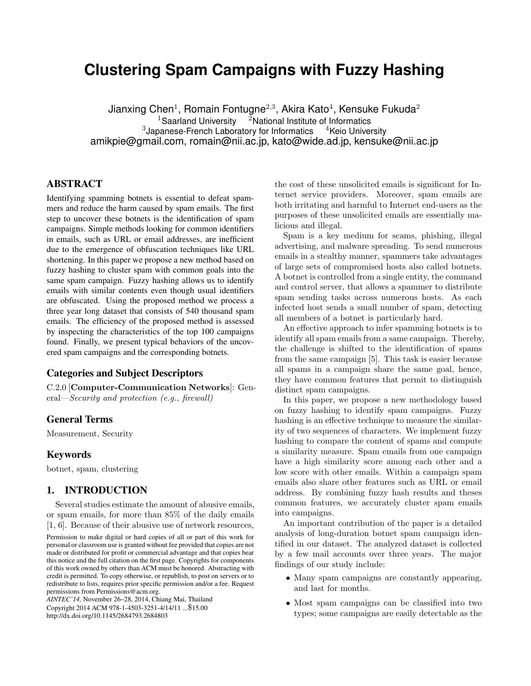# **Clustering Spam Campaigns with Fuzzy Hashing**

Jianxing Chen $^1$ , Romain Fontugne $^{2,3}$ , Akira Kato $^4$ , Kensuke Fukuda $^2$ <sup>1</sup>Saarland University  $^{-2}$ National Institute of Informatics<br>panese-French Laboratory for Informatics  $^{-4}$ Keio University  $3$ Japanese-French Laboratory for Informatics  $4$ Keio University amikpie@gmail.com, romain@nii.ac.jp, kato@wide.ad.jp, kensuke@nii.ac.jp

# ABSTRACT

Identifying spamming botnets is essential to defeat spammers and reduce the harm caused by spam emails. The first step to uncover these botnets is the identification of spam campaigns. Simple methods looking for common identifiers in emails, such as URL or email addresses, are inefficient due to the emergence of obfuscation techniques like URL shortening. In this paper we propose a new method based on fuzzy hashing to cluster spam with common goals into the same spam campaign. Fuzzy hashing allows us to identify emails with similar contents even though usual identifiers are obfuscated. Using the proposed method we process a three year long dataset that consists of 540 thousand spam emails. The efficiency of the proposed method is assessed by inspecting the characteristics of the top 100 campaigns found. Finally, we present typical behaviors of the uncovered spam campaigns and the corresponding botnets.

### Categories and Subject Descriptors

C.2.0 [Computer-Communication Networks]: General—Security and protection (e.g., firewall)

# General Terms

Measurement, Security

#### Keywords

botnet, spam, clustering

# 1. INTRODUCTION

Several studies estimate the amount of abusive emails, or spam emails, for more than 85% of the daily emails [1, 6]. Because of their abusive use of network resources,

*AINTEC'14,* November 26–28, 2014, Chiang Mai, Thailand Copyright 2014 ACM 978-1-4503-3251-4/14/11 ...\$15.00 http://dx.doi.org/10.1145/2684793.2684803

the cost of these unsolicited emails is significant for Internet service providers. Moreover, spam emails are both irritating and harmful to Internet end-users as the purposes of these unsolicited emails are essentially malicious and illegal.

Spam is a key medium for scams, phishing, illegal advertising, and malware spreading. To send numerous emails in a stealthy manner, spammers take advantages of large sets of compromised hosts also called botnets. A botnet is controlled from a single entity, the command and control server, that allows a spammer to distribute spam sending tasks across numerous hosts. As each infected host sends a small number of spam, detecting all members of a botnet is particularly hard.

An effective approach to infer spamming botnets is to identify all spam emails from a same campaign. Thereby, the challenge is shifted to the identification of spams from the same campaign [5]. This task is easier because all spams in a campaign share the same goal, hence, they have common features that permit to distinguish distinct spam campaigns.

In this paper, we propose a new methodology based on fuzzy hashing to identify spam campaigns. Fuzzy hashing is an effective technique to measure the similarity of two sequences of characters. We implement fuzzy hashing to compare the content of spams and compute a similarity measure. Spam emails from one campaign have a high similarity score among each other and a low score with other emails. Within a campaign spam emails also share other features such as URL or email address. By combining fuzzy hash results and theses common features, we accurately cluster spam emails into campaigns.

An important contribution of the paper is a detailed analysis of long-duration botnet spam campaign identified in our dataset. The analyzed dataset is collected by a few mail accounts over three years. The major findings of our study include:

- Many spam campaigns are constantly appearing, and last for months.
- Most spam campaigns can be classified into two types; some campaigns are easily detectable as the

Permission to make digital or hard copies of all or part of this work for personal or classroom use is granted without fee provided that copies are not made or distributed for profit or commercial advantage and that copies bear this notice and the full citation on the first page. Copyrights for components of this work owned by others than ACM must be honored. Abstracting with credit is permitted. To copy otherwise, or republish, to post on servers or to redistribute to lists, requires prior specific permission and/or a fee. Request permissions from Permissions@acm.org.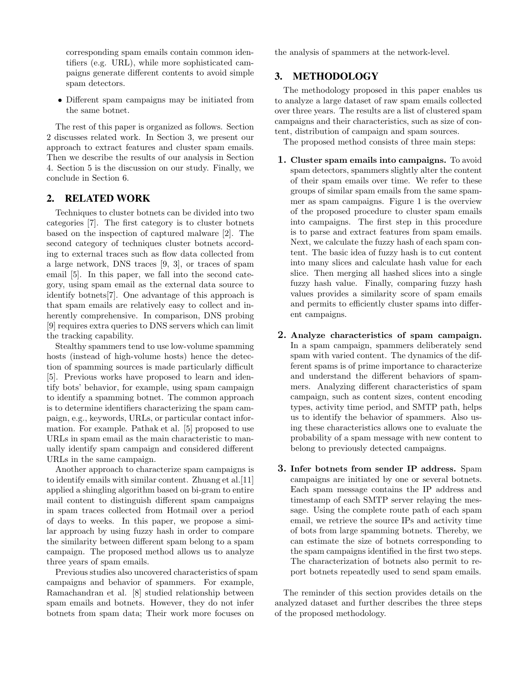corresponding spam emails contain common identifiers (e.g. URL), while more sophisticated campaigns generate different contents to avoid simple spam detectors.

• Different spam campaigns may be initiated from the same botnet.

The rest of this paper is organized as follows. Section 2 discusses related work. In Section 3, we present our approach to extract features and cluster spam emails. Then we describe the results of our analysis in Section 4. Section 5 is the discussion on our study. Finally, we conclude in Section 6.

### 2. RELATED WORK

Techniques to cluster botnets can be divided into two categories [7]. The first category is to cluster botnets based on the inspection of captured malware [2]. The second category of techniques cluster botnets according to external traces such as flow data collected from a large network, DNS traces [9, 3], or traces of spam email [5]. In this paper, we fall into the second category, using spam email as the external data source to identify botnets[7]. One advantage of this approach is that spam emails are relatively easy to collect and inherently comprehensive. In comparison, DNS probing [9] requires extra queries to DNS servers which can limit the tracking capability.

Stealthy spammers tend to use low-volume spamming hosts (instead of high-volume hosts) hence the detection of spamming sources is made particularly difficult [5]. Previous works have proposed to learn and identify bots' behavior, for example, using spam campaign to identify a spamming botnet. The common approach is to determine identifiers characterizing the spam campaign, e.g., keywords, URLs, or particular contact information. For example. Pathak et al. [5] proposed to use URLs in spam email as the main characteristic to manually identify spam campaign and considered different URLs in the same campaign.

Another approach to characterize spam campaigns is to identify emails with similar content. Zhuang et al.[11] applied a shingling algorithm based on bi-gram to entire mail content to distinguish different spam campaigns in spam traces collected from Hotmail over a period of days to weeks. In this paper, we propose a similar approach by using fuzzy hash in order to compare the similarity between different spam belong to a spam campaign. The proposed method allows us to analyze three years of spam emails.

Previous studies also uncovered characteristics of spam campaigns and behavior of spammers. For example, Ramachandran et al. [8] studied relationship between spam emails and botnets. However, they do not infer botnets from spam data; Their work more focuses on

the analysis of spammers at the network-level.

# 3. METHODOLOGY

The methodology proposed in this paper enables us to analyze a large dataset of raw spam emails collected over three years. The results are a list of clustered spam campaigns and their characteristics, such as size of content, distribution of campaign and spam sources.

The proposed method consists of three main steps:

- 1. Cluster spam emails into campaigns. To avoid spam detectors, spammers slightly alter the content of their spam emails over time. We refer to these groups of similar spam emails from the same spammer as spam campaigns. Figure 1 is the overview of the proposed procedure to cluster spam emails into campaigns. The first step in this procedure is to parse and extract features from spam emails. Next, we calculate the fuzzy hash of each spam content. The basic idea of fuzzy hash is to cut content into many slices and calculate hash value for each slice. Then merging all hashed slices into a single fuzzy hash value. Finally, comparing fuzzy hash values provides a similarity score of spam emails and permits to efficiently cluster spams into different campaigns.
- 2. Analyze characteristics of spam campaign. In a spam campaign, spammers deliberately send spam with varied content. The dynamics of the different spams is of prime importance to characterize and understand the different behaviors of spammers. Analyzing different characteristics of spam campaign, such as content sizes, content encoding types, activity time period, and SMTP path, helps us to identify the behavior of spammers. Also using these characteristics allows one to evaluate the probability of a spam message with new content to belong to previously detected campaigns.
- 3. Infer botnets from sender IP address. Spam campaigns are initiated by one or several botnets. Each spam message contains the IP address and timestamp of each SMTP server relaying the message. Using the complete route path of each spam email, we retrieve the source IPs and activity time of bots from large spamming botnets. Thereby, we can estimate the size of botnets corresponding to the spam campaigns identified in the first two steps. The characterization of botnets also permit to report botnets repeatedly used to send spam emails.

The reminder of this section provides details on the analyzed dataset and further describes the three steps of the proposed methodology.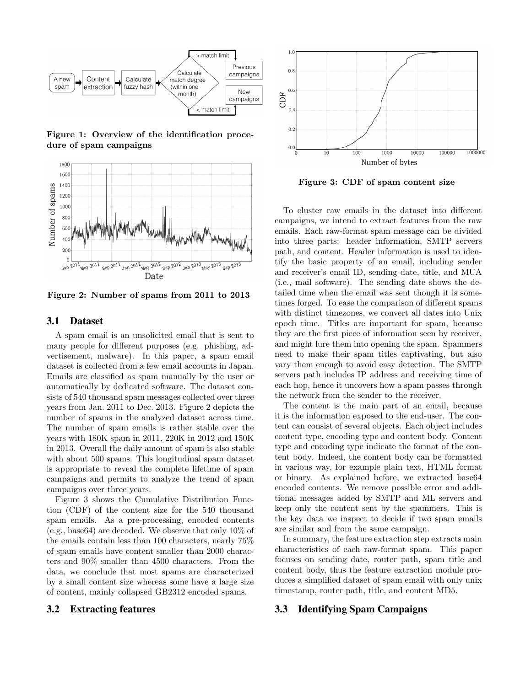

Figure 1: Overview of the identification procedure of spam campaigns



Figure 2: Number of spams from 2011 to 2013

#### 3.1 Dataset

A spam email is an unsolicited email that is sent to many people for different purposes (e.g. phishing, advertisement, malware). In this paper, a spam email dataset is collected from a few email accounts in Japan. Emails are classified as spam manually by the user or automatically by dedicated software. The dataset consists of 540 thousand spam messages collected over three years from Jan. 2011 to Dec. 2013. Figure 2 depicts the number of spams in the analyzed dataset across time. The number of spam emails is rather stable over the years with 180K spam in 2011, 220K in 2012 and 150K in 2013. Overall the daily amount of spam is also stable with about 500 spams. This longitudinal spam dataset is appropriate to reveal the complete lifetime of spam campaigns and permits to analyze the trend of spam campaigns over three years.

Figure 3 shows the Cumulative Distribution Function (CDF) of the content size for the 540 thousand spam emails. As a pre-processing, encoded contents (e.g., base64) are decoded. We observe that only 10% of the emails contain less than 100 characters, nearly 75% of spam emails have content smaller than 2000 characters and 90% smaller than 4500 characters. From the data, we conclude that most spams are characterized by a small content size whereas some have a large size of content, mainly collapsed GB2312 encoded spams.





Figure 3: CDF of spam content size

To cluster raw emails in the dataset into different campaigns, we intend to extract features from the raw emails. Each raw-format spam message can be divided into three parts: header information, SMTP servers path, and content. Header information is used to identify the basic property of an email, including sender and receiver's email ID, sending date, title, and MUA (i.e., mail software). The sending date shows the detailed time when the email was sent though it is sometimes forged. To ease the comparison of different spams with distinct timezones, we convert all dates into Unix epoch time. Titles are important for spam, because they are the first piece of information seen by receiver, and might lure them into opening the spam. Spammers need to make their spam titles captivating, but also vary them enough to avoid easy detection. The SMTP servers path includes IP address and receiving time of each hop, hence it uncovers how a spam passes through the network from the sender to the receiver.

The content is the main part of an email, because it is the information exposed to the end-user. The content can consist of several objects. Each object includes content type, encoding type and content body. Content type and encoding type indicate the format of the content body. Indeed, the content body can be formatted in various way, for example plain text, HTML format or binary. As explained before, we extracted base64 encoded contents. We remove possible error and additional messages added by SMTP and ML servers and keep only the content sent by the spammers. This is the key data we inspect to decide if two spam emails are similar and from the same campaign.

In summary, the feature extraction step extracts main characteristics of each raw-format spam. This paper focuses on sending date, router path, spam title and content body, thus the feature extraction module produces a simplified dataset of spam email with only unix timestamp, router path, title, and content MD5.

### 3.3 Identifying Spam Campaigns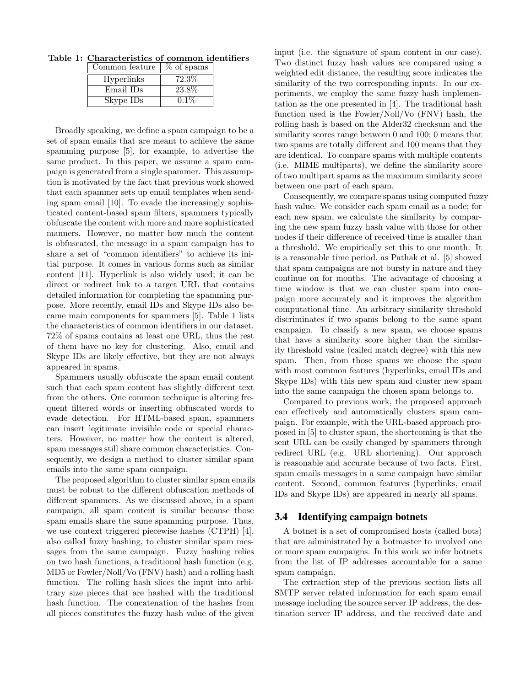Table 1: Characteristics of common identifiers

| Common feature    | % of spams |
|-------------------|------------|
| <b>Hyperlinks</b> | 72.3%      |
| Email IDs         | 23.8%      |
| Skype IDs         | $0.1\%$    |

Broadly speaking, we define a spam campaign to be a set of spam emails that are meant to achieve the same spamming purpose [5], for example, to advertise the same product. In this paper, we assume a spam campaign is generated from a single spammer. This assumption is motivated by the fact that previous work showed that each spammer sets up email templates when sending spam email [10]. To evade the increasingly sophisticated content-based spam filters, spammers typically obfuscate the content with more and more sophisticated manners. However, no matter how much the content is obfuscated, the message in a spam campaign has to share a set of "common identifiers" to achieve its initial purpose. It comes in various forms such as similar content [11]. Hyperlink is also widely used; it can be direct or redirect link to a target URL that contains detailed information for completing the spamming purpose. More recently, email IDs and Skype IDs also became main components for spammers [5]. Table 1 lists the characteristics of common identifiers in our dataset. 72% of spams contains at least one URL, thus the rest of them have no key for clustering. Also, email and Skype IDs are likely effective, but they are not always appeared in spams.

Spammers usually obfuscate the spam email content such that each spam content has slightly different text from the others. One common technique is altering frequent filtered words or inserting obfuscated words to evade detection. For HTML-based spam, spammers can insert legitimate invisible code or special characters. However, no matter how the content is altered, spam messages still share common characteristics. Consequently, we design a method to cluster similar spam emails into the same spam campaign.

The proposed algorithm to cluster similar spam emails must be robust to the different obfuscation methods of different spammers. As we discussed above, in a spam campaign, all spam content is similar because those spam emails share the same spamming purpose. Thus, we use context triggered piecewise hashes (CTPH) [4], also called fuzzy hashing, to cluster similar spam messages from the same campaign. Fuzzy hashing relies on two hash functions, a traditional hash function (e.g. MD5 or Fowler/Noll/Vo (FNV) hash) and a rolling hash function. The rolling hash slices the input into arbitrary size pieces that are hashed with the traditional hash function. The concatenation of the hashes from all pieces constitutes the fuzzy hash value of the given

input (i.e. the signature of spam content in our case). Two distinct fuzzy hash values are compared using a weighted edit distance, the resulting score indicates the similarity of the two corresponding inputs. In our experiments, we employ the same fuzzy hash implementation as the one presented in [4]. The traditional hash function used is the Fowler/Noll/Vo (FNV) hash, the rolling hash is based on the Alder32 checksum and the similarity scores range between 0 and 100; 0 means that two spams are totally different and 100 means that they are identical. To compare spams with multiple contents (i.e. MIME multiparts), we define the similarity score of two multipart spams as the maximum similarity score between one part of each spam.

Consequently, we compare spams using computed fuzzy hash value. We consider each spam email as a node; for each new spam, we calculate the similarity by comparing the new spam fuzzy hash value with those for other nodes if their difference of received time is smaller than a threshold. We empirically set this to one month. It is a reasonable time period, as Pathak et al. [5] showed that spam campaigns are not bursty in nature and they continue on for months. The advantage of choosing a time window is that we can cluster spam into campaign more accurately and it improves the algorithm computational time. An arbitrary similarity threshold discriminates if two spams belong to the same spam campaign. To classify a new spam, we choose spams that have a similarity score higher than the similarity threshold value (called match degree) with this new spam. Then, from those spams we choose the spam with most common features (hyperlinks, email IDs and Skype IDs) with this new spam and cluster new spam into the same campaign the chosen spam belongs to.

Compared to previous work, the proposed approach can effectively and automatically clusters spam campaign. For example, with the URL-based approach proposed in [5] to cluster spam, the shortcoming is that the sent URL can be easily changed by spammers through redirect URL (e.g. URL shortening). Our approach is reasonable and accurate because of two facts. First, spam emails messages in a same campaign have similar content. Second, common features (hyperlinks, email IDs and Skype IDs) are appeared in nearly all spams.

#### 3.4 Identifying campaign botnets

A botnet is a set of compromised hosts (called bots) that are administrated by a botmaster to involved one or more spam campaigns. In this work we infer botnets from the list of IP addresses accountable for a same spam campaign.

The extraction step of the previous section lists all SMTP server related information for each spam email message including the source server IP address, the destination server IP address, and the received date and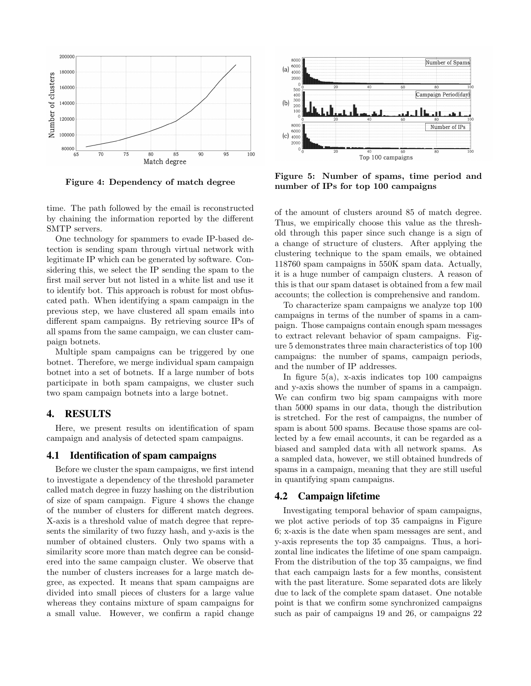

Figure 4: Dependency of match degree

time. The path followed by the email is reconstructed by chaining the information reported by the different SMTP servers.

One technology for spammers to evade IP-based detection is sending spam through virtual network with legitimate IP which can be generated by software. Considering this, we select the IP sending the spam to the first mail server but not listed in a white list and use it to identify bot. This approach is robust for most obfuscated path. When identifying a spam campaign in the previous step, we have clustered all spam emails into different spam campaigns. By retrieving source IPs of all spams from the same campaign, we can cluster campaign botnets.

Multiple spam campaigns can be triggered by one botnet. Therefore, we merge individual spam campaign botnet into a set of botnets. If a large number of bots participate in both spam campaigns, we cluster such two spam campaign botnets into a large botnet.

#### 4. RESULTS

Here, we present results on identification of spam campaign and analysis of detected spam campaigns.

#### 4.1 Identification of spam campaigns

Before we cluster the spam campaigns, we first intend to investigate a dependency of the threshold parameter called match degree in fuzzy hashing on the distribution of size of spam campaign. Figure 4 shows the change of the number of clusters for different match degrees. X-axis is a threshold value of match degree that represents the similarity of two fuzzy hash, and y-axis is the number of obtained clusters. Only two spams with a similarity score more than match degree can be considered into the same campaign cluster. We observe that the number of clusters increases for a large match degree, as expected. It means that spam campaigns are divided into small pieces of clusters for a large value whereas they contains mixture of spam campaigns for a small value. However, we confirm a rapid change



Figure 5: Number of spams, time period and number of IPs for top 100 campaigns

of the amount of clusters around 85 of match degree. Thus, we empirically choose this value as the threshold through this paper since such change is a sign of a change of structure of clusters. After applying the clustering technique to the spam emails, we obtained 118760 spam campaigns in 550K spam data. Actually, it is a huge number of campaign clusters. A reason of this is that our spam dataset is obtained from a few mail accounts; the collection is comprehensive and random.

To characterize spam campaigns we analyze top 100 campaigns in terms of the number of spams in a campaign. Those campaigns contain enough spam messages to extract relevant behavior of spam campaigns. Figure 5 demonstrates three main characteristics of top 100 campaigns: the number of spams, campaign periods, and the number of IP addresses.

In figure  $5(a)$ , x-axis indicates top 100 campaigns and y-axis shows the number of spams in a campaign. We can confirm two big spam campaigns with more than 5000 spams in our data, though the distribution is stretched. For the rest of campaigns, the number of spam is about 500 spams. Because those spams are collected by a few email accounts, it can be regarded as a biased and sampled data with all network spams. As a sampled data, however, we still obtained hundreds of spams in a campaign, meaning that they are still useful in quantifying spam campaigns.

#### 4.2 Campaign lifetime

Investigating temporal behavior of spam campaigns, we plot active periods of top 35 campaigns in Figure 6; x-axis is the date when spam messages are sent, and y-axis represents the top 35 campaigns. Thus, a horizontal line indicates the lifetime of one spam campaign. From the distribution of the top 35 campaigns, we find that each campaign lasts for a few months, consistent with the past literature. Some separated dots are likely due to lack of the complete spam dataset. One notable point is that we confirm some synchronized campaigns such as pair of campaigns 19 and 26, or campaigns 22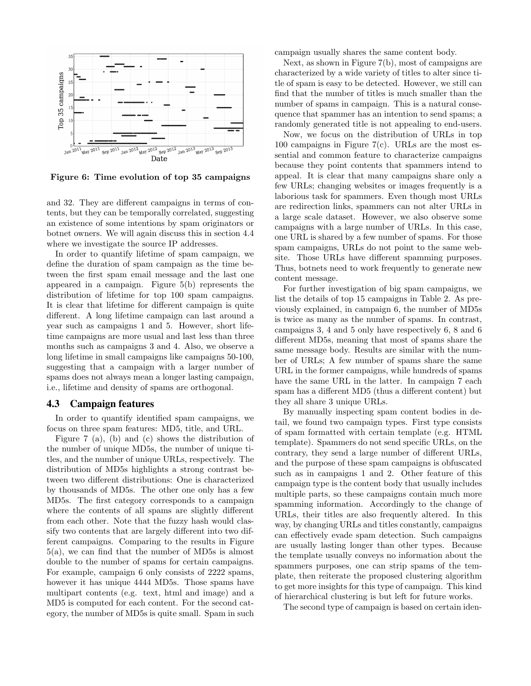

Figure 6: Time evolution of top 35 campaigns

and 32. They are different campaigns in terms of contents, but they can be temporally correlated, suggesting an existence of some intentions by spam originators or botnet owners. We will again discuss this in section 4.4 where we investigate the source IP addresses.

In order to quantify lifetime of spam campaign, we define the duration of spam campaign as the time between the first spam email message and the last one appeared in a campaign. Figure 5(b) represents the distribution of lifetime for top 100 spam campaigns. It is clear that lifetime for different campaign is quite different. A long lifetime campaign can last around a year such as campaigns 1 and 5. However, short lifetime campaigns are more usual and last less than three months such as campaigns 3 and 4. Also, we observe a long lifetime in small campaigns like campaigns 50-100, suggesting that a campaign with a larger number of spams does not always mean a longer lasting campaign, i.e., lifetime and density of spams are orthogonal.

#### 4.3 Campaign features

In order to quantify identified spam campaigns, we focus on three spam features: MD5, title, and URL.

Figure 7 (a), (b) and (c) shows the distribution of the number of unique MD5s, the number of unique titles, and the number of unique URLs, respectively. The distribution of MD5s highlights a strong contrast between two different distributions: One is characterized by thousands of MD5s. The other one only has a few MD5s. The first category corresponds to a campaign where the contents of all spams are slightly different from each other. Note that the fuzzy hash would classify two contents that are largely different into two different campaigns. Comparing to the results in Figure 5(a), we can find that the number of MD5s is almost double to the number of spams for certain campaigns. For example, campaign 6 only consists of 2222 spams, however it has unique 4444 MD5s. Those spams have multipart contents (e.g. text, html and image) and a MD5 is computed for each content. For the second category, the number of MD5s is quite small. Spam in such campaign usually shares the same content body.

Next, as shown in Figure 7(b), most of campaigns are characterized by a wide variety of titles to alter since title of spam is easy to be detected. However, we still can find that the number of titles is much smaller than the number of spams in campaign. This is a natural consequence that spammer has an intention to send spams; a randomly generated title is not appealing to end-users.

Now, we focus on the distribution of URLs in top 100 campaigns in Figure 7(c). URLs are the most essential and common feature to characterize campaigns because they point contents that spammers intend to appeal. It is clear that many campaigns share only a few URLs; changing websites or images frequently is a laborious task for spammers. Even though most URLs are redirection links, spammers can not alter URLs in a large scale dataset. However, we also observe some campaigns with a large number of URLs. In this case, one URL is shared by a few number of spams. For those spam campaigns, URLs do not point to the same website. Those URLs have different spamming purposes. Thus, botnets need to work frequently to generate new content message.

For further investigation of big spam campaigns, we list the details of top 15 campaigns in Table 2. As previously explained, in campaign 6, the number of MD5s is twice as many as the number of spams. In contrast, campaigns 3, 4 and 5 only have respectively 6, 8 and 6 different MD5s, meaning that most of spams share the same message body. Results are similar with the number of URLs; A few number of spams share the same URL in the former campaigns, while hundreds of spams have the same URL in the latter. In campaign 7 each spam has a different MD5 (thus a different content) but they all share 3 unique URLs.

By manually inspecting spam content bodies in detail, we found two campaign types. First type consists of spam formatted with certain template (e.g. HTML template). Spammers do not send specific URLs, on the contrary, they send a large number of different URLs, and the purpose of these spam campaigns is obfuscated such as in campaigns 1 and 2. Other feature of this campaign type is the content body that usually includes multiple parts, so these campaigns contain much more spamming information. Accordingly to the change of URLs, their titles are also frequently altered. In this way, by changing URLs and titles constantly, campaigns can effectively evade spam detection. Such campaigns are usually lasting longer than other types. Because the template usually conveys no information about the spammers purposes, one can strip spams of the template, then reiterate the proposed clustering algorithm to get more insights for this type of campaign. This kind of hierarchical clustering is but left for future works.

The second type of campaign is based on certain iden-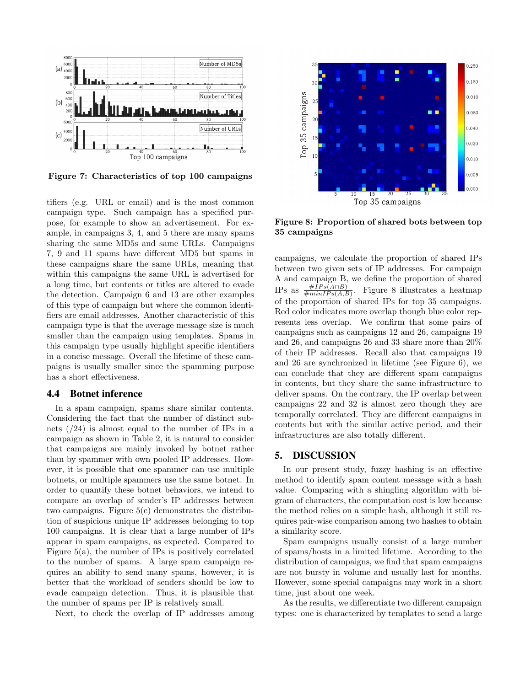

Figure 7: Characteristics of top 100 campaigns

tifiers (e.g. URL or email) and is the most common campaign type. Such campaign has a specified purpose, for example to show an advertisement. For example, in campaigns 3, 4, and 5 there are many spams sharing the same MD5s and same URLs. Campaigns 7, 9 and 11 spams have different MD5 but spams in these campaigns share the same URLs, meaning that within this campaigns the same URL is advertised for a long time, but contents or titles are altered to evade the detection. Campaign 6 and 13 are other examples of this type of campaign but where the common identifiers are email addresses. Another characteristic of this campaign type is that the average message size is much smaller than the campaign using templates. Spams in this campaign type usually highlight specific identifiers in a concise message. Overall the lifetime of these campaigns is usually smaller since the spamming purpose has a short effectiveness.

### 4.4 Botnet inference

In a spam campaign, spams share similar contents. Considering the fact that the number of distinct subnets  $(24)$  is almost equal to the number of IPs in a campaign as shown in Table 2, it is natural to consider that campaigns are mainly invoked by botnet rather than by spammer with own pooled IP addresses. However, it is possible that one spammer can use multiple botnets, or multiple spammers use the same botnet. In order to quantify these botnet behaviors, we intend to compare an overlap of sender's IP addresses between two campaigns. Figure 5(c) demonstrates the distribution of suspicious unique IP addresses belonging to top 100 campaigns. It is clear that a large number of IPs appear in spam campaigns, as expected. Compared to Figure  $5(a)$ , the number of IPs is positively correlated to the number of spams. A large spam campaign requires an ability to send many spams, however, it is better that the workload of senders should be low to evade campaign detection. Thus, it is plausible that the number of spams per IP is relatively small.

Next, to check the overlap of IP addresses among



Figure 8: Proportion of shared bots between top 35 campaigns

campaigns, we calculate the proportion of shared IPs between two given sets of IP addresses. For campaign A and campaign B, we define the proportion of shared<br> $\text{IPa}_{\text{B} \text{Q} \text{Q}} \frac{\#IPs(A \cap B)}{\#IPs(A \cap B)}$ IPs as  $\frac{\#IPs(A \cap B)}{\#minIPs(A,B)}$ . Figure 8 illustrates a heatmap of the proportion of shared IPs for top 35 campaigns. Red color indicates more overlap though blue color represents less overlap. We confirm that some pairs of campaigns such as campaigns 12 and 26, campaigns 19 and 26, and campaigns 26 and 33 share more than 20% of their IP addresses. Recall also that campaigns 19 and 26 are synchronized in lifetime (see Figure 6), we can conclude that they are different spam campaigns in contents, but they share the same infrastructure to deliver spams. On the contrary, the IP overlap between campaigns 22 and 32 is almost zero though they are temporally correlated. They are different campaigns in contents but with the similar active period, and their infrastructures are also totally different.

#### 5. DISCUSSION

In our present study, fuzzy hashing is an effective method to identify spam content message with a hash value. Comparing with a shingling algorithm with bigram of characters, the computation cost is low because the method relies on a simple hash, although it still requires pair-wise comparison among two hashes to obtain a similarity score.

Spam campaigns usually consist of a large number of spams/hosts in a limited lifetime. According to the distribution of campaigns, we find that spam campaigns are not bursty in volume and usually last for months. However, some special campaigns may work in a short time, just about one week.

As the results, we differentiate two different campaign types: one is characterized by templates to send a large